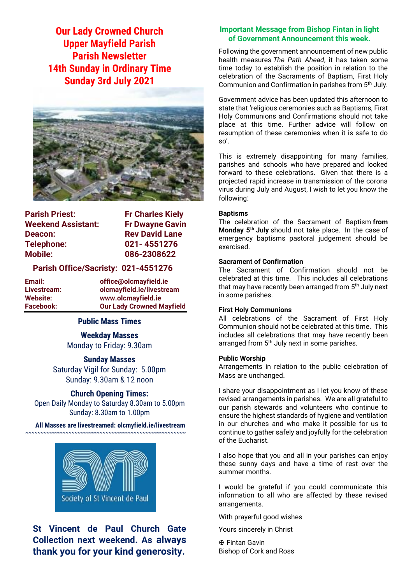**Our Lady Crowned Church Upper Mayfield Parish Parish Newsletter 14th Sunday in Ordinary Time Sunday 3rd July 2021**



| <b>Parish Priest:</b>     | <b>Fr Charles Kiely</b> |
|---------------------------|-------------------------|
| <b>Weekend Assistant:</b> | <b>Fr Dwayne Gavin</b>  |
| Deacon:                   | <b>Rev David Lane</b>   |
| Telephone:                | 021-4551276             |
| <b>Mobile:</b>            | 086-2308622             |
|                           |                         |

#### **Parish Office/Sacristy: 021-4551276**

**Email: office@olcmayfield.ie Livestream: olcmayfield.ie/livestream Website: www.olcmayfield.ie Our Lady Crowned Mayfield** 

#### **Public Mass Times**

**Weekday Masses** Monday to Friday: 9.30am

#### **Sunday Masses**

Saturday Vigil for Sunday: 5.00pm Sunday: 9.30am & 12 noon

#### **Church Opening Times:**

Open Daily Monday to Saturday 8.30am to 5.00pm Sunday: 8.30am to 1.00pm

#### **All Masses are livestreamed: olcmyfield.ie/livestream ~~~~~~~~~~~~~~~~~~~~~~~~~~~~~~~~~~~~~~~~~~~~~~~~~~~~**



# **St Vincent de Paul Church Gate Collection next weekend. As always thank you for your kind generosity.**

#### **Important Message from Bishop Fintan in light of Government Announcement this week.**

Following the government announcement of new public health measures *The Path Ahead*, it has taken some time today to establish the position in relation to the celebration of the Sacraments of Baptism, First Holy Communion and Confirmation in parishes from 5<sup>th</sup> July.

Government advice has been updated this afternoon to state that 'religious ceremonies such as Baptisms, First Holy Communions and Confirmations should not take place at this time. Further advice will follow on resumption of these ceremonies when it is safe to do so'.

This is extremely disappointing for many families, parishes and schools who have prepared and looked forward to these celebrations. Given that there is a projected rapid increase in transmission of the corona virus during July and August, I wish to let you know the following:

#### **Baptisms**

The celebration of the Sacrament of Baptism **from Monday 5th July** should not take place. In the case of emergency baptisms pastoral judgement should be exercised.

#### **Sacrament of Confirmation**

The Sacrament of Confirmation should not be celebrated at this time. This includes all celebrations that may have recently been arranged from 5<sup>th</sup> July next in some parishes.

#### **First Holy Communions**

All celebrations of the Sacrament of First Holy Communion should not be celebrated at this time. This includes all celebrations that may have recently been arranged from 5<sup>th</sup> July next in some parishes.

#### **Public Worship**

Arrangements in relation to the public celebration of Mass are unchanged.

I share your disappointment as I let you know of these revised arrangements in parishes. We are all grateful to our parish stewards and volunteers who continue to ensure the highest standards of hygiene and ventilation in our churches and who make it possible for us to continue to gather safely and joyfully for the celebration of the Eucharist.

I also hope that you and all in your parishes can enjoy these sunny days and have a time of rest over the summer months.

I would be grateful if you could communicate this information to all who are affected by these revised arrangements.

With prayerful good wishes

Yours sincerely in Christ

✠ Fintan Gavin Bishop of Cork and Ross